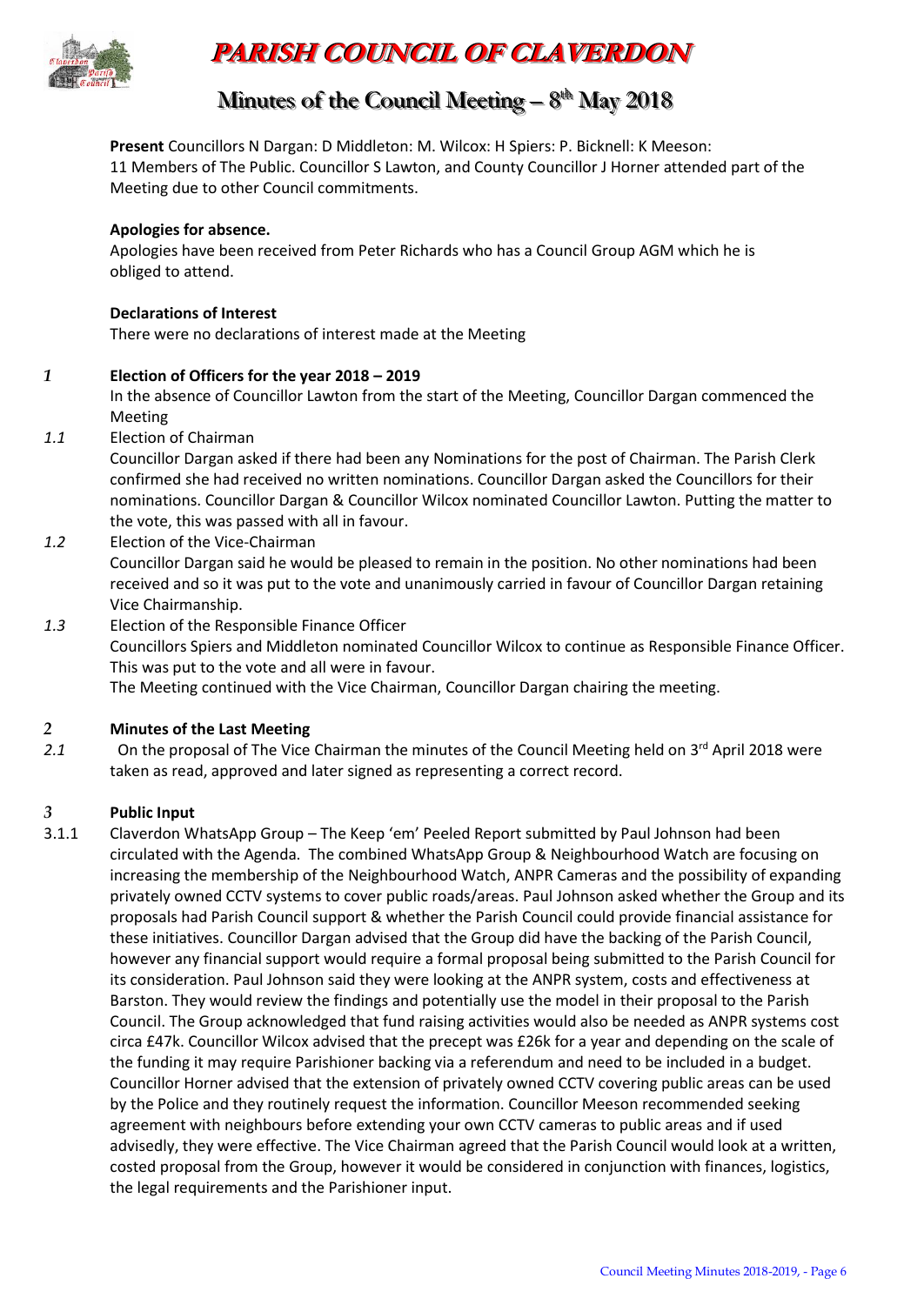

# **PARISH COUNCIL OF CLAVERDON**

## Minutes of the Council Meeting – 8<sup>th</sup> May 2018

**Present** Councillors N Dargan: D Middleton: M. Wilcox: H Spiers: P. Bicknell: K Meeson: 11 Members of The Public. Councillor S Lawton, and County Councillor J Horner attended part of the Meeting due to other Council commitments.

#### **Apologies for absence.**

Apologies have been received from Peter Richards who has a Council Group AGM which he is obliged to attend.

#### **Declarations of Interest**

There were no declarations of interest made at the Meeting

#### *1* **Election of Officers for the year 2018 – 2019**

In the absence of Councillor Lawton from the start of the Meeting, Councillor Dargan commenced the Meeting

*1.1* Election of Chairman

Councillor Dargan asked if there had been any Nominations for the post of Chairman. The Parish Clerk confirmed she had received no written nominations. Councillor Dargan asked the Councillors for their nominations. Councillor Dargan & Councillor Wilcox nominated Councillor Lawton. Putting the matter to the vote, this was passed with all in favour.

*1.2* Election of the Vice-Chairman

Councillor Dargan said he would be pleased to remain in the position. No other nominations had been received and so it was put to the vote and unanimously carried in favour of Councillor Dargan retaining Vice Chairmanship.

*1.3* Election of the Responsible Finance Officer

Councillors Spiers and Middleton nominated Councillor Wilcox to continue as Responsible Finance Officer. This was put to the vote and all were in favour.

The Meeting continued with the Vice Chairman, Councillor Dargan chairing the meeting.

#### *2* **Minutes of the Last Meeting**

2.1 On the proposal of The Vice Chairman the minutes of the Council Meeting held on 3<sup>rd</sup> April 2018 were taken as read, approved and later signed as representing a correct record.

#### *3* **Public Input**

3.1.1 Claverdon WhatsApp Group – The Keep 'em' Peeled Report submitted by Paul Johnson had been circulated with the Agenda. The combined WhatsApp Group & Neighbourhood Watch are focusing on increasing the membership of the Neighbourhood Watch, ANPR Cameras and the possibility of expanding privately owned CCTV systems to cover public roads/areas. Paul Johnson asked whether the Group and its proposals had Parish Council support & whether the Parish Council could provide financial assistance for these initiatives. Councillor Dargan advised that the Group did have the backing of the Parish Council, however any financial support would require a formal proposal being submitted to the Parish Council for its consideration. Paul Johnson said they were looking at the ANPR system, costs and effectiveness at Barston. They would review the findings and potentially use the model in their proposal to the Parish Council. The Group acknowledged that fund raising activities would also be needed as ANPR systems cost circa £47k. Councillor Wilcox advised that the precept was £26k for a year and depending on the scale of the funding it may require Parishioner backing via a referendum and need to be included in a budget. Councillor Horner advised that the extension of privately owned CCTV covering public areas can be used by the Police and they routinely request the information. Councillor Meeson recommended seeking agreement with neighbours before extending your own CCTV cameras to public areas and if used advisedly, they were effective. The Vice Chairman agreed that the Parish Council would look at a written, costed proposal from the Group, however it would be considered in conjunction with finances, logistics, the legal requirements and the Parishioner input.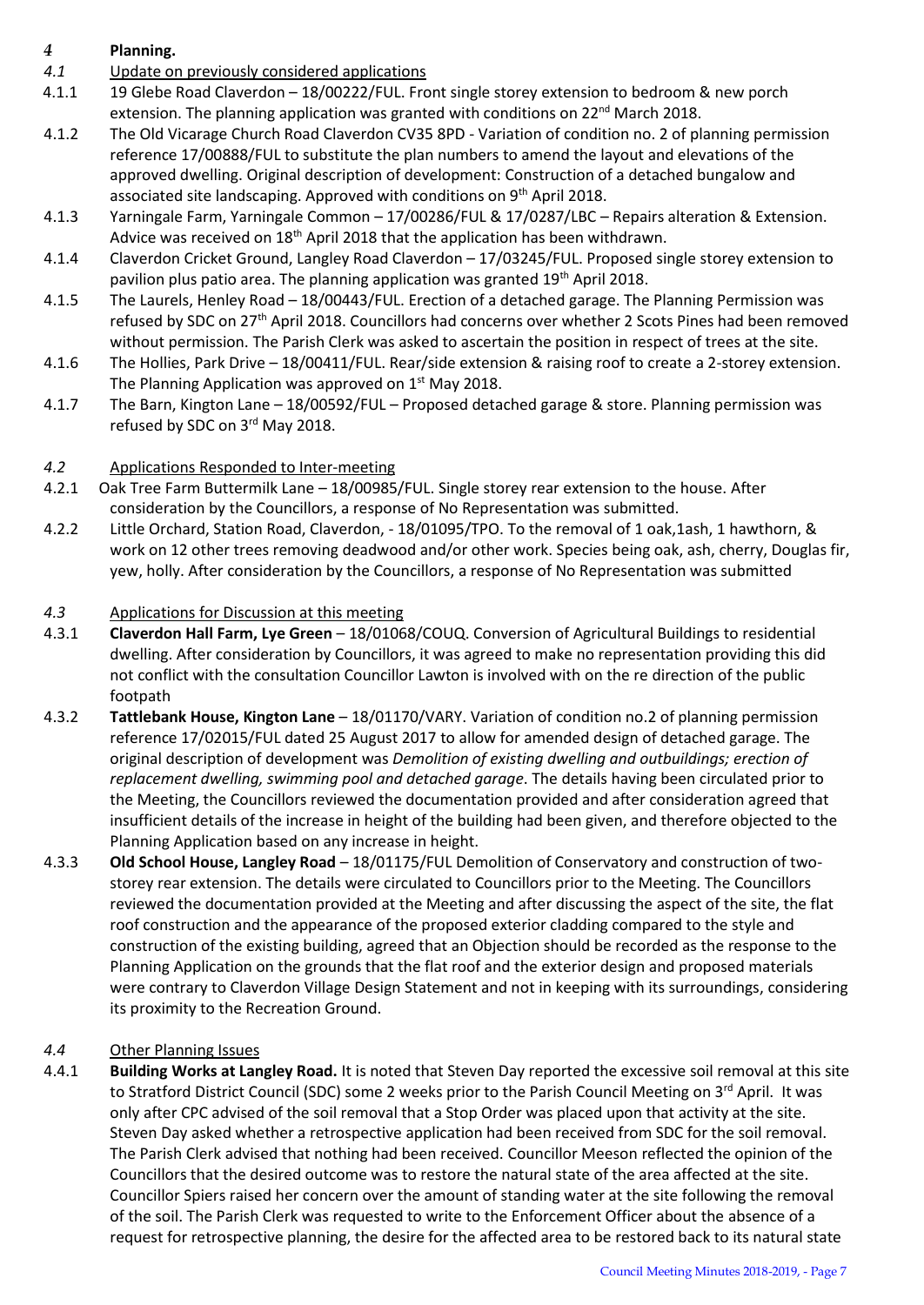### *4* **Planning.**

- *4.1* Update on previously considered applications
- 4.1.1 19 Glebe Road Claverdon 18/00222/FUL. Front single storey extension to bedroom & new porch extension. The planning application was granted with conditions on  $22^{nd}$  March 2018.
- 4.1.2 The Old Vicarage Church Road Claverdon CV35 8PD Variation of condition no. 2 of planning permission reference 17/00888/FUL to substitute the plan numbers to amend the layout and elevations of the approved dwelling. Original description of development: Construction of a detached bungalow and associated site landscaping. Approved with conditions on  $9<sup>th</sup>$  April 2018.
- 4.1.3 Yarningale Farm, Yarningale Common 17/00286/FUL & 17/0287/LBC Repairs alteration & Extension. Advice was received on 18<sup>th</sup> April 2018 that the application has been withdrawn.
- 4.1.4 Claverdon Cricket Ground, Langley Road Claverdon 17/03245/FUL. Proposed single storey extension to pavilion plus patio area. The planning application was granted 19<sup>th</sup> April 2018.
- 4.1.5 The Laurels, Henley Road 18/00443/FUL. Erection of a detached garage. The Planning Permission was refused by SDC on 27<sup>th</sup> April 2018. Councillors had concerns over whether 2 Scots Pines had been removed without permission. The Parish Clerk was asked to ascertain the position in respect of trees at the site.
- 4.1.6 The Hollies, Park Drive 18/00411/FUL. Rear/side extension & raising roof to create a 2-storey extension. The Planning Application was approved on 1<sup>st</sup> May 2018.
- 4.1.7 The Barn, Kington Lane 18/00592/FUL Proposed detached garage & store. Planning permission was refused by SDC on 3rd May 2018.

#### *4.2* Applications Responded to Inter-meeting

- 4.2.1 Oak Tree Farm Buttermilk Lane 18/00985/FUL. Single storey rear extension to the house. After consideration by the Councillors, a response of No Representation was submitted.
- 4.2.2 Little Orchard, Station Road, Claverdon, 18/01095/TPO. To the removal of 1 oak,1ash, 1 hawthorn, & work on 12 other trees removing deadwood and/or other work. Species being oak, ash, cherry, Douglas fir, yew, holly. After consideration by the Councillors, a response of No Representation was submitted

#### *4.3* Applications for Discussion at this meeting

- 4.3.1 **Claverdon Hall Farm, Lye Green** 18/01068/COUQ. Conversion of Agricultural Buildings to residential dwelling. After consideration by Councillors, it was agreed to make no representation providing this did not conflict with the consultation Councillor Lawton is involved with on the re direction of the public footpath
- 4.3.2 **Tattlebank House, Kington Lane** 18/01170/VARY. Variation of condition no.2 of planning permission reference 17/02015/FUL dated 25 August 2017 to allow for amended design of detached garage. The original description of development was *Demolition of existing dwelling and outbuildings; erection of replacement dwelling, swimming pool and detached garage*. The details having been circulated prior to the Meeting, the Councillors reviewed the documentation provided and after consideration agreed that insufficient details of the increase in height of the building had been given, and therefore objected to the Planning Application based on any increase in height.
- 4.3.3 **Old School House, Langley Road** 18/01175/FUL Demolition of Conservatory and construction of twostorey rear extension. The details were circulated to Councillors prior to the Meeting. The Councillors reviewed the documentation provided at the Meeting and after discussing the aspect of the site, the flat roof construction and the appearance of the proposed exterior cladding compared to the style and construction of the existing building, agreed that an Objection should be recorded as the response to the Planning Application on the grounds that the flat roof and the exterior design and proposed materials were contrary to Claverdon Village Design Statement and not in keeping with its surroundings, considering its proximity to the Recreation Ground.

#### *4.4* Other Planning Issues

4.4.1 **Building Works at Langley Road.** It is noted that Steven Day reported the excessive soil removal at this site to Stratford District Council (SDC) some 2 weeks prior to the Parish Council Meeting on 3rd April. It was only after CPC advised of the soil removal that a Stop Order was placed upon that activity at the site. Steven Day asked whether a retrospective application had been received from SDC for the soil removal. The Parish Clerk advised that nothing had been received. Councillor Meeson reflected the opinion of the Councillors that the desired outcome was to restore the natural state of the area affected at the site. Councillor Spiers raised her concern over the amount of standing water at the site following the removal of the soil. The Parish Clerk was requested to write to the Enforcement Officer about the absence of a request for retrospective planning, the desire for the affected area to be restored back to its natural state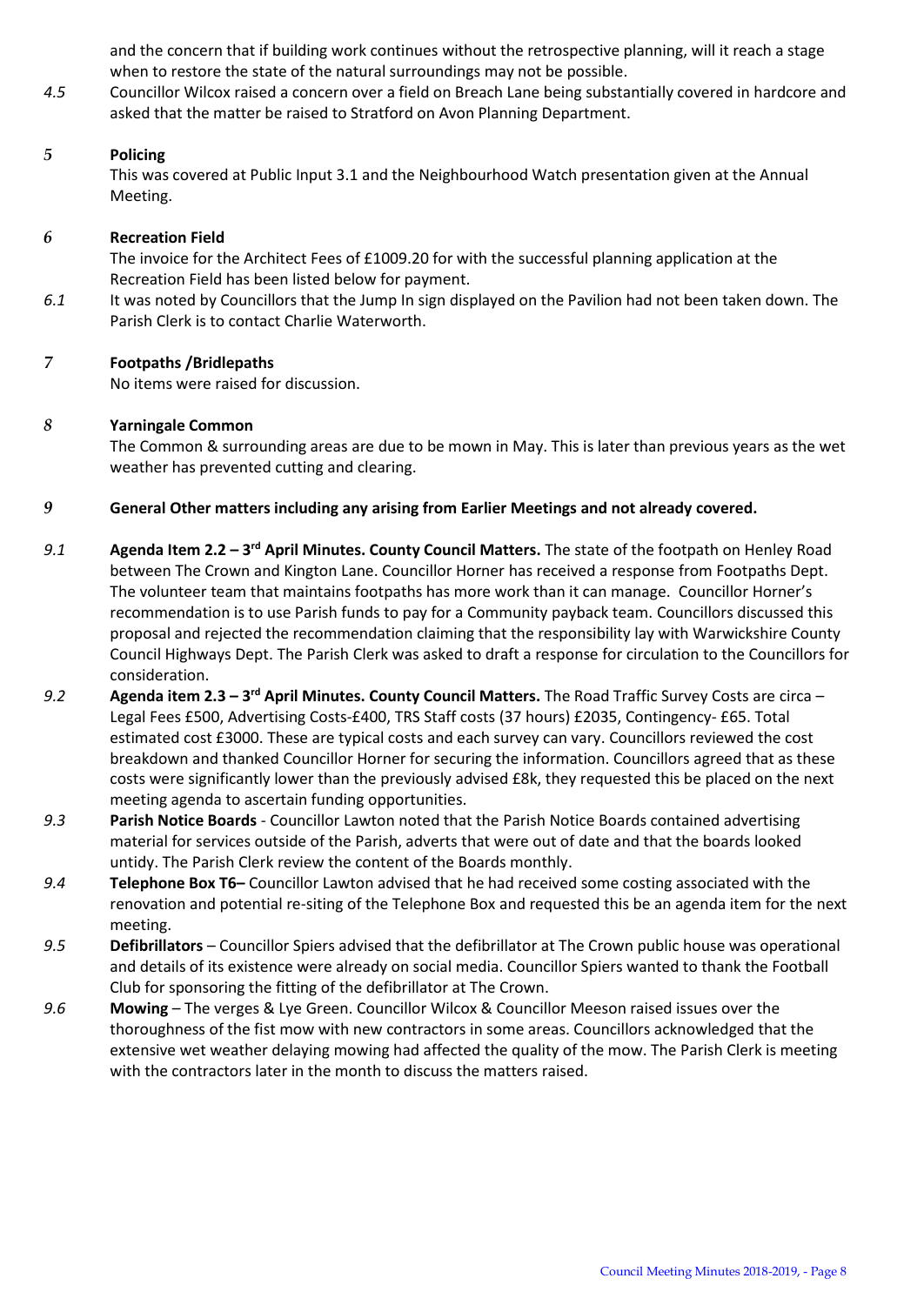and the concern that if building work continues without the retrospective planning, will it reach a stage when to restore the state of the natural surroundings may not be possible.

*4.5* Councillor Wilcox raised a concern over a field on Breach Lane being substantially covered in hardcore and asked that the matter be raised to Stratford on Avon Planning Department.

#### *5* **Policing**

This was covered at Public Input 3.1 and the Neighbourhood Watch presentation given at the Annual Meeting.

#### *6* **Recreation Field**

The invoice for the Architect Fees of £1009.20 for with the successful planning application at the Recreation Field has been listed below for payment.

*6.1* It was noted by Councillors that the Jump In sign displayed on the Pavilion had not been taken down. The Parish Clerk is to contact Charlie Waterworth.

#### *7* **Footpaths /Bridlepaths**

No items were raised for discussion.

#### *8* **Yarningale Common**

The Common & surrounding areas are due to be mown in May. This is later than previous years as the wet weather has prevented cutting and clearing.

#### *9* **General Other matters including any arising from Earlier Meetings and not already covered.**

- 9.1 **Agenda Item 2.2 3<sup>rd</sup> April Minutes. County Council Matters. The state of the footpath on Henley Road** between The Crown and Kington Lane. Councillor Horner has received a response from Footpaths Dept. The volunteer team that maintains footpaths has more work than it can manage. Councillor Horner's recommendation is to use Parish funds to pay for a Community payback team. Councillors discussed this proposal and rejected the recommendation claiming that the responsibility lay with Warwickshire County Council Highways Dept. The Parish Clerk was asked to draft a response for circulation to the Councillors for consideration.
- *9.2* **Agenda item 2.3 – 3 rd April Minutes. County Council Matters.** The Road Traffic Survey Costs are circa Legal Fees £500, Advertising Costs-£400, TRS Staff costs (37 hours) £2035, Contingency- £65. Total estimated cost £3000. These are typical costs and each survey can vary. Councillors reviewed the cost breakdown and thanked Councillor Horner for securing the information. Councillors agreed that as these costs were significantly lower than the previously advised £8k, they requested this be placed on the next meeting agenda to ascertain funding opportunities.
- *9.3* **Parish Notice Boards** Councillor Lawton noted that the Parish Notice Boards contained advertising material for services outside of the Parish, adverts that were out of date and that the boards looked untidy. The Parish Clerk review the content of the Boards monthly.
- *9.4* **Telephone Box T6–** Councillor Lawton advised that he had received some costing associated with the renovation and potential re-siting of the Telephone Box and requested this be an agenda item for the next meeting.
- *9.5* **Defibrillators**  Councillor Spiers advised that the defibrillator at The Crown public house was operational and details of its existence were already on social media. Councillor Spiers wanted to thank the Football Club for sponsoring the fitting of the defibrillator at The Crown.
- *9.6* **Mowing**  The verges & Lye Green. Councillor Wilcox & Councillor Meeson raised issues over the thoroughness of the fist mow with new contractors in some areas. Councillors acknowledged that the extensive wet weather delaying mowing had affected the quality of the mow. The Parish Clerk is meeting with the contractors later in the month to discuss the matters raised.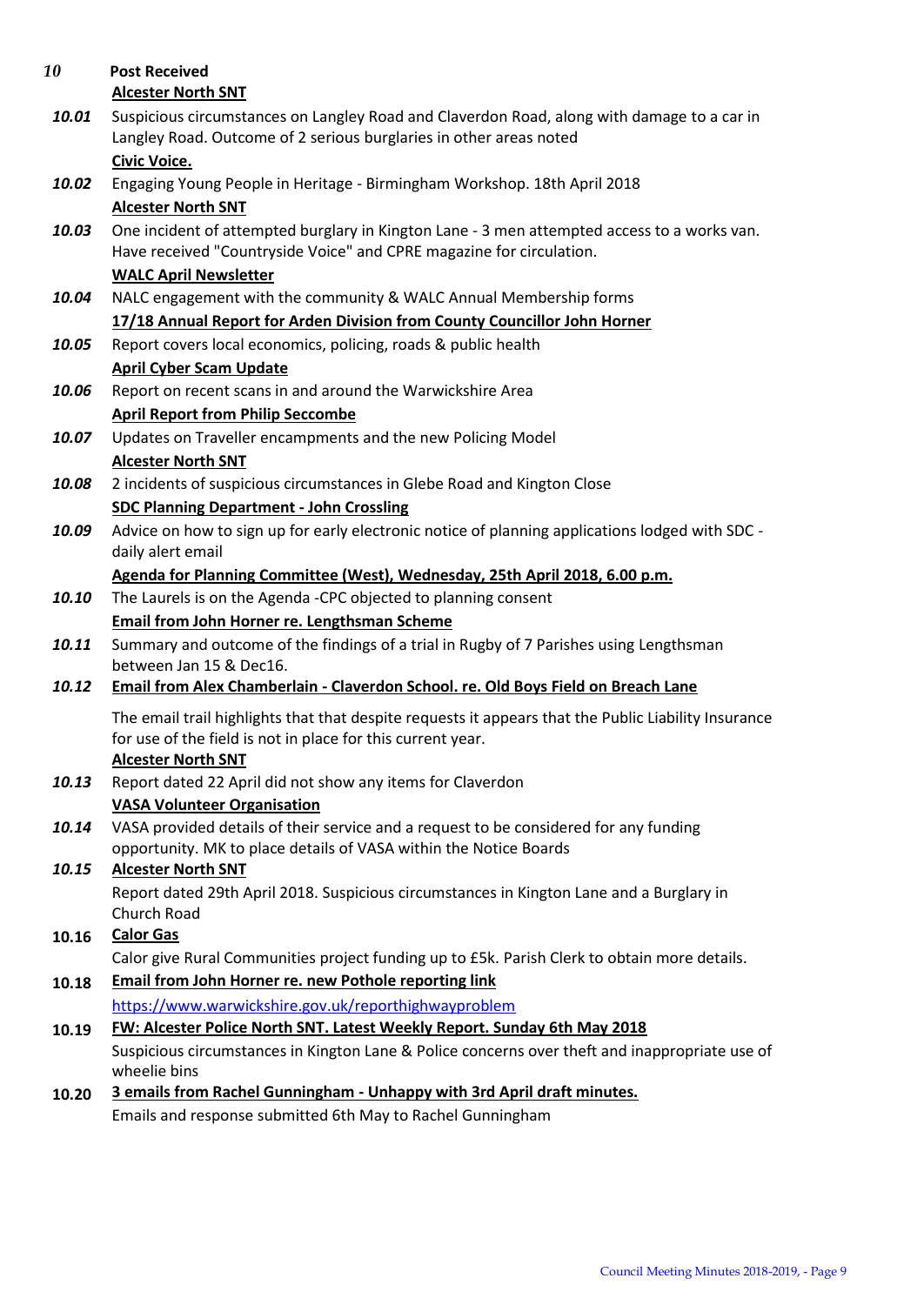| 10    | <b>Post Received</b>                                                                                                                                             |
|-------|------------------------------------------------------------------------------------------------------------------------------------------------------------------|
|       | <b>Alcester North SNT</b>                                                                                                                                        |
| 10.01 | Suspicious circumstances on Langley Road and Claverdon Road, along with damage to a car in<br>Langley Road. Outcome of 2 serious burglaries in other areas noted |
|       | <b>Civic Voice.</b>                                                                                                                                              |
| 10.02 | Engaging Young People in Heritage - Birmingham Workshop. 18th April 2018                                                                                         |
|       | <b>Alcester North SNT</b>                                                                                                                                        |
| 10.03 | One incident of attempted burglary in Kington Lane - 3 men attempted access to a works van.                                                                      |
|       | Have received "Countryside Voice" and CPRE magazine for circulation.                                                                                             |
|       | <b>WALC April Newsletter</b>                                                                                                                                     |
| 10.04 | NALC engagement with the community & WALC Annual Membership forms                                                                                                |
|       | 17/18 Annual Report for Arden Division from County Councillor John Horner                                                                                        |
| 10.05 | Report covers local economics, policing, roads & public health                                                                                                   |
|       | <b>April Cyber Scam Update</b>                                                                                                                                   |
| 10.06 | Report on recent scans in and around the Warwickshire Area                                                                                                       |
|       | <b>April Report from Philip Seccombe</b>                                                                                                                         |
| 10.07 | Updates on Traveller encampments and the new Policing Model                                                                                                      |
|       | <b>Alcester North SNT</b>                                                                                                                                        |
| 10.08 | 2 incidents of suspicious circumstances in Glebe Road and Kington Close                                                                                          |
|       | <b>SDC Planning Department - John Crossling</b>                                                                                                                  |
| 10.09 | Advice on how to sign up for early electronic notice of planning applications lodged with SDC -                                                                  |
|       | daily alert email                                                                                                                                                |
|       | Agenda for Planning Committee (West), Wednesday, 25th April 2018, 6.00 p.m.                                                                                      |
| 10.10 | The Laurels is on the Agenda -CPC objected to planning consent                                                                                                   |
|       | Email from John Horner re. Lengthsman Scheme                                                                                                                     |
| 10.11 | Summary and outcome of the findings of a trial in Rugby of 7 Parishes using Lengthsman<br>between Jan 15 & Dec16.                                                |
| 10.12 | Email from Alex Chamberlain - Claverdon School. re. Old Boys Field on Breach Lane                                                                                |
|       |                                                                                                                                                                  |
|       | The email trail highlights that that despite requests it appears that the Public Liability Insurance                                                             |
|       | for use of the field is not in place for this current year.<br><b>Alcester North SNT</b>                                                                         |
| 10.13 | Report dated 22 April did not show any items for Claverdon                                                                                                       |
|       | <b>VASA Volunteer Organisation</b>                                                                                                                               |
| 10.14 | VASA provided details of their service and a request to be considered for any funding                                                                            |
|       | opportunity. MK to place details of VASA within the Notice Boards                                                                                                |
| 10.15 | <b>Alcester North SNT</b>                                                                                                                                        |
|       | Report dated 29th April 2018. Suspicious circumstances in Kington Lane and a Burglary in                                                                         |
|       | Church Road                                                                                                                                                      |
| 10.16 | <b>Calor Gas</b>                                                                                                                                                 |
|       | Calor give Rural Communities project funding up to £5k. Parish Clerk to obtain more details.                                                                     |
| 10.18 | <b>Email from John Horner re. new Pothole reporting link</b>                                                                                                     |
|       | https://www.warwickshire.gov.uk/reporthighwayproblem                                                                                                             |
| 10.19 | FW: Alcester Police North SNT. Latest Weekly Report. Sunday 6th May 2018                                                                                         |
|       | Suspicious circumstances in Kington Lane & Police concerns over theft and inappropriate use of                                                                   |
|       | wheelie bins                                                                                                                                                     |
| 10.20 | 3 emails from Rachel Gunningham - Unhappy with 3rd April draft minutes.                                                                                          |
|       | Emails and response submitted 6th May to Rachel Gunningham                                                                                                       |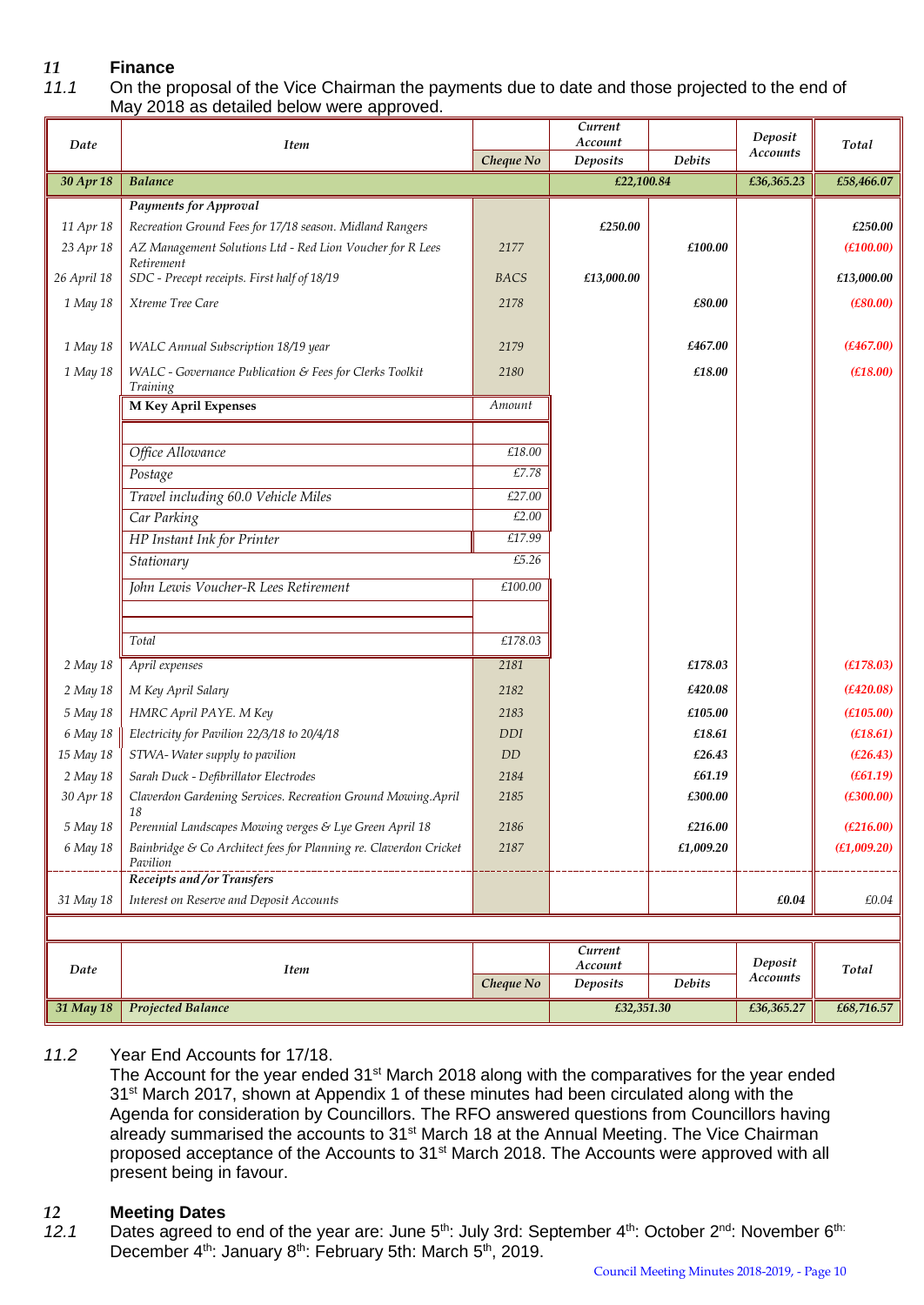# *11* **Finance**

#### *11.1* On the proposal of the Vice Chairman the payments due to date and those projected to the end of May 2018 as detailed below were approved.

| Account<br>Total<br>Date<br><b>Item</b><br>Accounts<br>Deposits<br>Cheque No<br><b>Debits</b><br>30 Apr 18<br><b>Balance</b><br>£22,100.84<br>£36,365.23<br>£58,466.07<br><b>Payments for Approval</b><br>11 Apr 18<br>Recreation Ground Fees for 17/18 season. Midland Rangers<br>£250.00<br>£250.00<br>23 Apr 18<br>£100.00<br>(E100.00)<br>AZ Management Solutions Ltd - Red Lion Voucher for R Lees<br>2177<br>Retirement<br>SDC - Precept receipts. First half of 18/19<br>26 April 18<br>£13,000.00<br>£13,000.00<br>BACS<br>Xtreme Tree Care<br>(E80.00)<br>1 May 18<br>2178<br>£80.00<br>1 May 18<br>WALC Annual Subscription 18/19 year<br>2179<br>£467.00<br>(E467.00)<br>1 May 18<br>£18.00<br>(E18.00)<br>WALC - Governance Publication & Fees for Clerks Toolkit<br>2180<br>Training<br><b>M Key April Expenses</b><br>Amount<br>£18.00<br>Office Allowance<br>£7.78<br>Postage<br>Travel including 60.0 Vehicle Miles<br>£27.00<br>£2.00<br>Car Parking<br>£17.99<br>HP Instant Ink for Printer<br>£5.26<br>Stationary<br>£100.00<br>John Lewis Voucher-R Lees Retirement<br>£178.03<br>Total<br>April expenses<br>2181<br>2 May 18<br>£178.03<br>(E178.03)<br>2 May 18<br>(E420.08)<br>M Key April Salary<br>2182<br>£420.08<br>(E105.00)<br>5 May 18<br>HMRC April PAYE. M Key<br>2183<br>£105.00<br>£18.61<br>(E18.61)<br>6 May 18<br>Electricity for Pavilion 22/3/18 to 20/4/18<br><b>DDI</b><br>15 May 18<br>STWA- Water supply to pavilion<br>£26.43<br>(E26.43)<br>DD<br>£61.19<br>(E61.19)<br>2 May 18<br>Sarah Duck - Defibrillator Electrodes<br>2184 |
|--------------------------------------------------------------------------------------------------------------------------------------------------------------------------------------------------------------------------------------------------------------------------------------------------------------------------------------------------------------------------------------------------------------------------------------------------------------------------------------------------------------------------------------------------------------------------------------------------------------------------------------------------------------------------------------------------------------------------------------------------------------------------------------------------------------------------------------------------------------------------------------------------------------------------------------------------------------------------------------------------------------------------------------------------------------------------------------------------------------------------------------------------------------------------------------------------------------------------------------------------------------------------------------------------------------------------------------------------------------------------------------------------------------------------------------------------------------------------------------------------------------------------------------------------------------------------------|
|                                                                                                                                                                                                                                                                                                                                                                                                                                                                                                                                                                                                                                                                                                                                                                                                                                                                                                                                                                                                                                                                                                                                                                                                                                                                                                                                                                                                                                                                                                                                                                                |
|                                                                                                                                                                                                                                                                                                                                                                                                                                                                                                                                                                                                                                                                                                                                                                                                                                                                                                                                                                                                                                                                                                                                                                                                                                                                                                                                                                                                                                                                                                                                                                                |
|                                                                                                                                                                                                                                                                                                                                                                                                                                                                                                                                                                                                                                                                                                                                                                                                                                                                                                                                                                                                                                                                                                                                                                                                                                                                                                                                                                                                                                                                                                                                                                                |
|                                                                                                                                                                                                                                                                                                                                                                                                                                                                                                                                                                                                                                                                                                                                                                                                                                                                                                                                                                                                                                                                                                                                                                                                                                                                                                                                                                                                                                                                                                                                                                                |
|                                                                                                                                                                                                                                                                                                                                                                                                                                                                                                                                                                                                                                                                                                                                                                                                                                                                                                                                                                                                                                                                                                                                                                                                                                                                                                                                                                                                                                                                                                                                                                                |
|                                                                                                                                                                                                                                                                                                                                                                                                                                                                                                                                                                                                                                                                                                                                                                                                                                                                                                                                                                                                                                                                                                                                                                                                                                                                                                                                                                                                                                                                                                                                                                                |
|                                                                                                                                                                                                                                                                                                                                                                                                                                                                                                                                                                                                                                                                                                                                                                                                                                                                                                                                                                                                                                                                                                                                                                                                                                                                                                                                                                                                                                                                                                                                                                                |
|                                                                                                                                                                                                                                                                                                                                                                                                                                                                                                                                                                                                                                                                                                                                                                                                                                                                                                                                                                                                                                                                                                                                                                                                                                                                                                                                                                                                                                                                                                                                                                                |
|                                                                                                                                                                                                                                                                                                                                                                                                                                                                                                                                                                                                                                                                                                                                                                                                                                                                                                                                                                                                                                                                                                                                                                                                                                                                                                                                                                                                                                                                                                                                                                                |
|                                                                                                                                                                                                                                                                                                                                                                                                                                                                                                                                                                                                                                                                                                                                                                                                                                                                                                                                                                                                                                                                                                                                                                                                                                                                                                                                                                                                                                                                                                                                                                                |
|                                                                                                                                                                                                                                                                                                                                                                                                                                                                                                                                                                                                                                                                                                                                                                                                                                                                                                                                                                                                                                                                                                                                                                                                                                                                                                                                                                                                                                                                                                                                                                                |
|                                                                                                                                                                                                                                                                                                                                                                                                                                                                                                                                                                                                                                                                                                                                                                                                                                                                                                                                                                                                                                                                                                                                                                                                                                                                                                                                                                                                                                                                                                                                                                                |
|                                                                                                                                                                                                                                                                                                                                                                                                                                                                                                                                                                                                                                                                                                                                                                                                                                                                                                                                                                                                                                                                                                                                                                                                                                                                                                                                                                                                                                                                                                                                                                                |
|                                                                                                                                                                                                                                                                                                                                                                                                                                                                                                                                                                                                                                                                                                                                                                                                                                                                                                                                                                                                                                                                                                                                                                                                                                                                                                                                                                                                                                                                                                                                                                                |
|                                                                                                                                                                                                                                                                                                                                                                                                                                                                                                                                                                                                                                                                                                                                                                                                                                                                                                                                                                                                                                                                                                                                                                                                                                                                                                                                                                                                                                                                                                                                                                                |
|                                                                                                                                                                                                                                                                                                                                                                                                                                                                                                                                                                                                                                                                                                                                                                                                                                                                                                                                                                                                                                                                                                                                                                                                                                                                                                                                                                                                                                                                                                                                                                                |
|                                                                                                                                                                                                                                                                                                                                                                                                                                                                                                                                                                                                                                                                                                                                                                                                                                                                                                                                                                                                                                                                                                                                                                                                                                                                                                                                                                                                                                                                                                                                                                                |
|                                                                                                                                                                                                                                                                                                                                                                                                                                                                                                                                                                                                                                                                                                                                                                                                                                                                                                                                                                                                                                                                                                                                                                                                                                                                                                                                                                                                                                                                                                                                                                                |
|                                                                                                                                                                                                                                                                                                                                                                                                                                                                                                                                                                                                                                                                                                                                                                                                                                                                                                                                                                                                                                                                                                                                                                                                                                                                                                                                                                                                                                                                                                                                                                                |
|                                                                                                                                                                                                                                                                                                                                                                                                                                                                                                                                                                                                                                                                                                                                                                                                                                                                                                                                                                                                                                                                                                                                                                                                                                                                                                                                                                                                                                                                                                                                                                                |
|                                                                                                                                                                                                                                                                                                                                                                                                                                                                                                                                                                                                                                                                                                                                                                                                                                                                                                                                                                                                                                                                                                                                                                                                                                                                                                                                                                                                                                                                                                                                                                                |
|                                                                                                                                                                                                                                                                                                                                                                                                                                                                                                                                                                                                                                                                                                                                                                                                                                                                                                                                                                                                                                                                                                                                                                                                                                                                                                                                                                                                                                                                                                                                                                                |
|                                                                                                                                                                                                                                                                                                                                                                                                                                                                                                                                                                                                                                                                                                                                                                                                                                                                                                                                                                                                                                                                                                                                                                                                                                                                                                                                                                                                                                                                                                                                                                                |
|                                                                                                                                                                                                                                                                                                                                                                                                                                                                                                                                                                                                                                                                                                                                                                                                                                                                                                                                                                                                                                                                                                                                                                                                                                                                                                                                                                                                                                                                                                                                                                                |
|                                                                                                                                                                                                                                                                                                                                                                                                                                                                                                                                                                                                                                                                                                                                                                                                                                                                                                                                                                                                                                                                                                                                                                                                                                                                                                                                                                                                                                                                                                                                                                                |
|                                                                                                                                                                                                                                                                                                                                                                                                                                                                                                                                                                                                                                                                                                                                                                                                                                                                                                                                                                                                                                                                                                                                                                                                                                                                                                                                                                                                                                                                                                                                                                                |
|                                                                                                                                                                                                                                                                                                                                                                                                                                                                                                                                                                                                                                                                                                                                                                                                                                                                                                                                                                                                                                                                                                                                                                                                                                                                                                                                                                                                                                                                                                                                                                                |
| 30 Apr 18<br>Claverdon Gardening Services. Recreation Ground Mowing.April<br>(E300.00)<br>2185<br>£300.00                                                                                                                                                                                                                                                                                                                                                                                                                                                                                                                                                                                                                                                                                                                                                                                                                                                                                                                                                                                                                                                                                                                                                                                                                                                                                                                                                                                                                                                                      |
| 18                                                                                                                                                                                                                                                                                                                                                                                                                                                                                                                                                                                                                                                                                                                                                                                                                                                                                                                                                                                                                                                                                                                                                                                                                                                                                                                                                                                                                                                                                                                                                                             |
| 5 May 18<br>Perennial Landscapes Mowing verges & Lye Green April 18<br>£216.00<br>(E216.00)<br>2186                                                                                                                                                                                                                                                                                                                                                                                                                                                                                                                                                                                                                                                                                                                                                                                                                                                                                                                                                                                                                                                                                                                                                                                                                                                                                                                                                                                                                                                                            |
| £1,009.20<br>6 May 18<br>(E1,009.20)<br>Bainbridge & Co Architect fees for Planning re. Claverdon Cricket<br>2187<br>Pavilion                                                                                                                                                                                                                                                                                                                                                                                                                                                                                                                                                                                                                                                                                                                                                                                                                                                                                                                                                                                                                                                                                                                                                                                                                                                                                                                                                                                                                                                  |
| Receipts and /or Transfers                                                                                                                                                                                                                                                                                                                                                                                                                                                                                                                                                                                                                                                                                                                                                                                                                                                                                                                                                                                                                                                                                                                                                                                                                                                                                                                                                                                                                                                                                                                                                     |
| Interest on Reserve and Deposit Accounts<br>31 May 18<br>£0.04<br>£0.04                                                                                                                                                                                                                                                                                                                                                                                                                                                                                                                                                                                                                                                                                                                                                                                                                                                                                                                                                                                                                                                                                                                                                                                                                                                                                                                                                                                                                                                                                                        |
|                                                                                                                                                                                                                                                                                                                                                                                                                                                                                                                                                                                                                                                                                                                                                                                                                                                                                                                                                                                                                                                                                                                                                                                                                                                                                                                                                                                                                                                                                                                                                                                |
| Current<br>Deposit                                                                                                                                                                                                                                                                                                                                                                                                                                                                                                                                                                                                                                                                                                                                                                                                                                                                                                                                                                                                                                                                                                                                                                                                                                                                                                                                                                                                                                                                                                                                                             |
| Account<br>Total<br>Date<br><b>Item</b><br>Accounts<br>Cheque No<br><b>Deposits</b><br>Debits                                                                                                                                                                                                                                                                                                                                                                                                                                                                                                                                                                                                                                                                                                                                                                                                                                                                                                                                                                                                                                                                                                                                                                                                                                                                                                                                                                                                                                                                                  |
| Projected Balance<br>£32,351.30<br>£68,716.57<br>31 May 18<br>£36,365.27                                                                                                                                                                                                                                                                                                                                                                                                                                                                                                                                                                                                                                                                                                                                                                                                                                                                                                                                                                                                                                                                                                                                                                                                                                                                                                                                                                                                                                                                                                       |

#### *11.2* Year End Accounts for 17/18.

The Account for the year ended 31<sup>st</sup> March 2018 along with the comparatives for the year ended 31<sup>st</sup> March 2017, shown at Appendix 1 of these minutes had been circulated along with the Agenda for consideration by Councillors. The RFO answered questions from Councillors having already summarised the accounts to 31<sup>st</sup> March 18 at the Annual Meeting. The Vice Chairman proposed acceptance of the Accounts to 31<sup>st</sup> March 2018. The Accounts were approved with all present being in favour.

#### *12* **Meeting Dates**

12.1 Dates agreed to end of the year are: June 5<sup>th</sup>: July 3rd: September 4<sup>th</sup>: October 2<sup>nd</sup>: November 6<sup>th:</sup> December 4<sup>th</sup>: January 8<sup>th</sup>: February 5th: March 5<sup>th</sup>, 2019.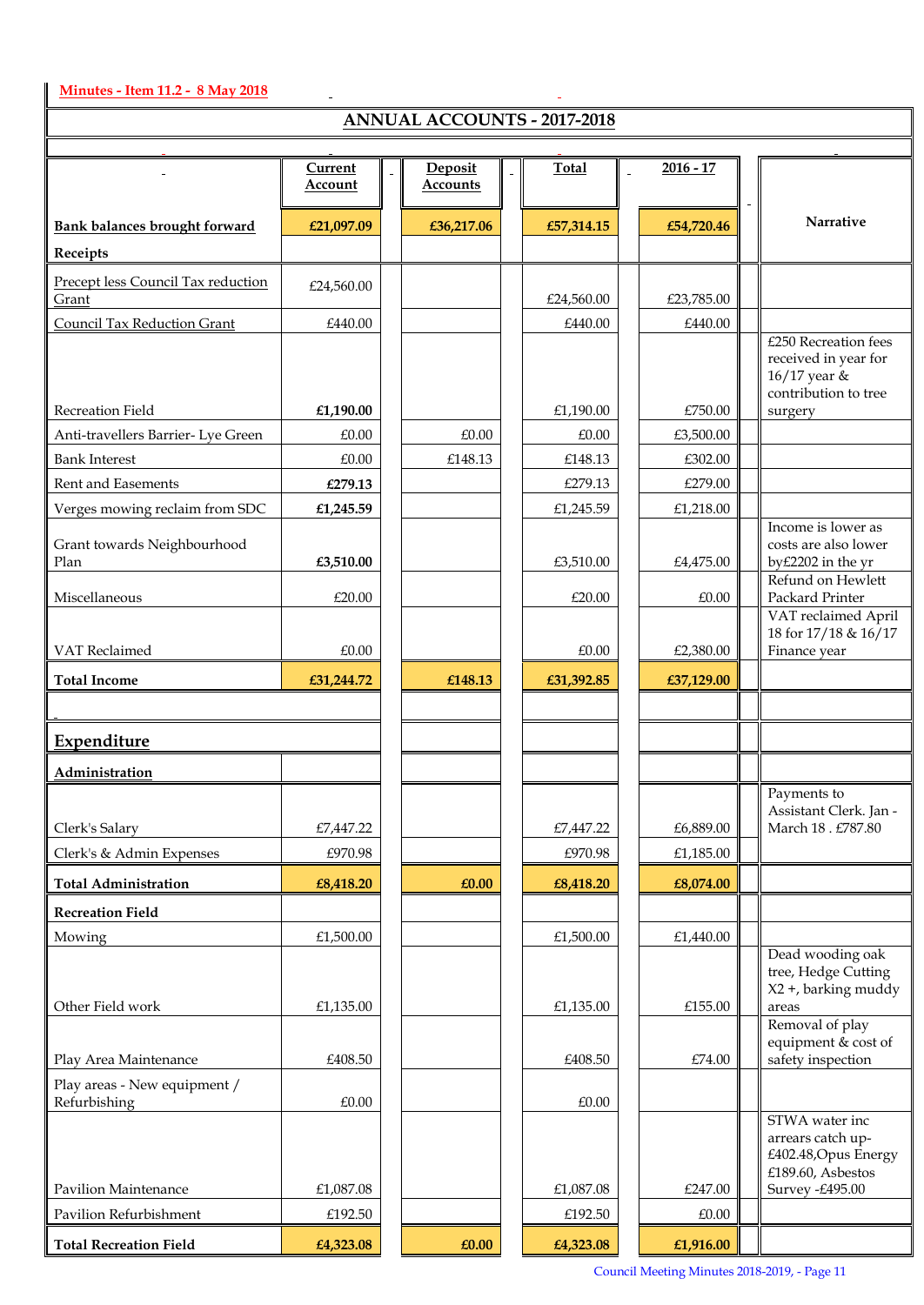#### **Minutes - Item 11.2 - 8 May 2018**

 $\mathsf{l}$ 

## **ANNUAL ACCOUNTS - 2017-2018**

 $\overline{\phantom{a}}$ 

| THRIVOIRE TRECCOONTIO - 2017-2010            |            |  |                 |  |            |             |  |                                                                                                     |  |
|----------------------------------------------|------------|--|-----------------|--|------------|-------------|--|-----------------------------------------------------------------------------------------------------|--|
|                                              | Current    |  | Deposit         |  | Total      | $2016 - 17$ |  |                                                                                                     |  |
|                                              | Account    |  | <b>Accounts</b> |  |            |             |  |                                                                                                     |  |
| <b>Bank balances brought forward</b>         | £21,097.09 |  | £36,217.06      |  | £57,314.15 | £54,720.46  |  | Narrative                                                                                           |  |
| Receipts                                     |            |  |                 |  |            |             |  |                                                                                                     |  |
| Precept less Council Tax reduction<br>Grant  | £24,560.00 |  |                 |  | £24,560.00 | £23,785.00  |  |                                                                                                     |  |
| Council Tax Reduction Grant                  | £440.00    |  |                 |  | £440.00    | £440.00     |  |                                                                                                     |  |
| Recreation Field                             | £1,190.00  |  |                 |  | £1,190.00  | £750.00     |  | £250 Recreation fees<br>received in year for<br>16/17 year &<br>contribution to tree<br>surgery     |  |
| Anti-travellers Barrier- Lye Green           | £0.00      |  | £0.00           |  | £0.00      | £3,500.00   |  |                                                                                                     |  |
| <b>Bank Interest</b>                         | £0.00      |  | £148.13         |  | £148.13    | £302.00     |  |                                                                                                     |  |
| Rent and Easements                           | £279.13    |  |                 |  | £279.13    | £279.00     |  |                                                                                                     |  |
| Verges mowing reclaim from SDC               | £1,245.59  |  |                 |  | £1,245.59  | £1,218.00   |  |                                                                                                     |  |
| Grant towards Neighbourhood                  |            |  |                 |  |            |             |  | Income is lower as<br>costs are also lower                                                          |  |
| Plan                                         | £3,510.00  |  |                 |  | £3,510.00  | £4,475.00   |  | by£2202 in the yr<br>Refund on Hewlett                                                              |  |
| Miscellaneous                                | £20.00     |  |                 |  | £20.00     | £0.00       |  | Packard Printer                                                                                     |  |
| VAT Reclaimed                                | £0.00      |  |                 |  | £0.00      | £2,380.00   |  | VAT reclaimed April<br>18 for 17/18 & 16/17<br>Finance year                                         |  |
|                                              |            |  |                 |  |            |             |  |                                                                                                     |  |
| <b>Total Income</b>                          | £31,244.72 |  | £148.13         |  | £31,392.85 | £37,129.00  |  |                                                                                                     |  |
|                                              |            |  |                 |  |            |             |  |                                                                                                     |  |
| Expenditure                                  |            |  |                 |  |            |             |  |                                                                                                     |  |
| Administration                               |            |  |                 |  |            |             |  |                                                                                                     |  |
| Clerk's Salary                               | £7,447.22  |  |                 |  | £7,447.22  | £6,889.00   |  | Payments to<br>Assistant Clerk. Jan -<br>March 18 . £787.80                                         |  |
| Clerk's & Admin Expenses                     | £970.98    |  |                 |  | £970.98    | £1,185.00   |  |                                                                                                     |  |
| <b>Total Administration</b>                  | £8,418.20  |  | £0.00           |  | £8,418.20  | £8,074.00   |  |                                                                                                     |  |
| <b>Recreation Field</b>                      |            |  |                 |  |            |             |  |                                                                                                     |  |
| Mowing                                       | £1,500.00  |  |                 |  | £1,500.00  | £1,440.00   |  |                                                                                                     |  |
| Other Field work                             | £1,135.00  |  |                 |  | £1,135.00  | £155.00     |  | Dead wooding oak<br>tree, Hedge Cutting<br>X2 +, barking muddy<br>areas                             |  |
|                                              |            |  |                 |  |            |             |  | Removal of play                                                                                     |  |
| Play Area Maintenance                        | £408.50    |  |                 |  | £408.50    | £74.00      |  | equipment & cost of<br>safety inspection                                                            |  |
| Play areas - New equipment /<br>Refurbishing | £0.00      |  |                 |  | £0.00      |             |  |                                                                                                     |  |
| Pavilion Maintenance                         | £1,087.08  |  |                 |  | £1,087.08  | £247.00     |  | STWA water inc<br>arrears catch up-<br>£402.48, Opus Energy<br>£189.60, Asbestos<br>Survey -£495.00 |  |
| Pavilion Refurbishment                       | £192.50    |  |                 |  | £192.50    | £0.00       |  |                                                                                                     |  |
| <b>Total Recreation Field</b>                | £4,323.08  |  | £0.00           |  | £4,323.08  | £1,916.00   |  |                                                                                                     |  |

Council Meeting Minutes 2018-2019, - Page 11

 $\overline{\mathbb{1}}$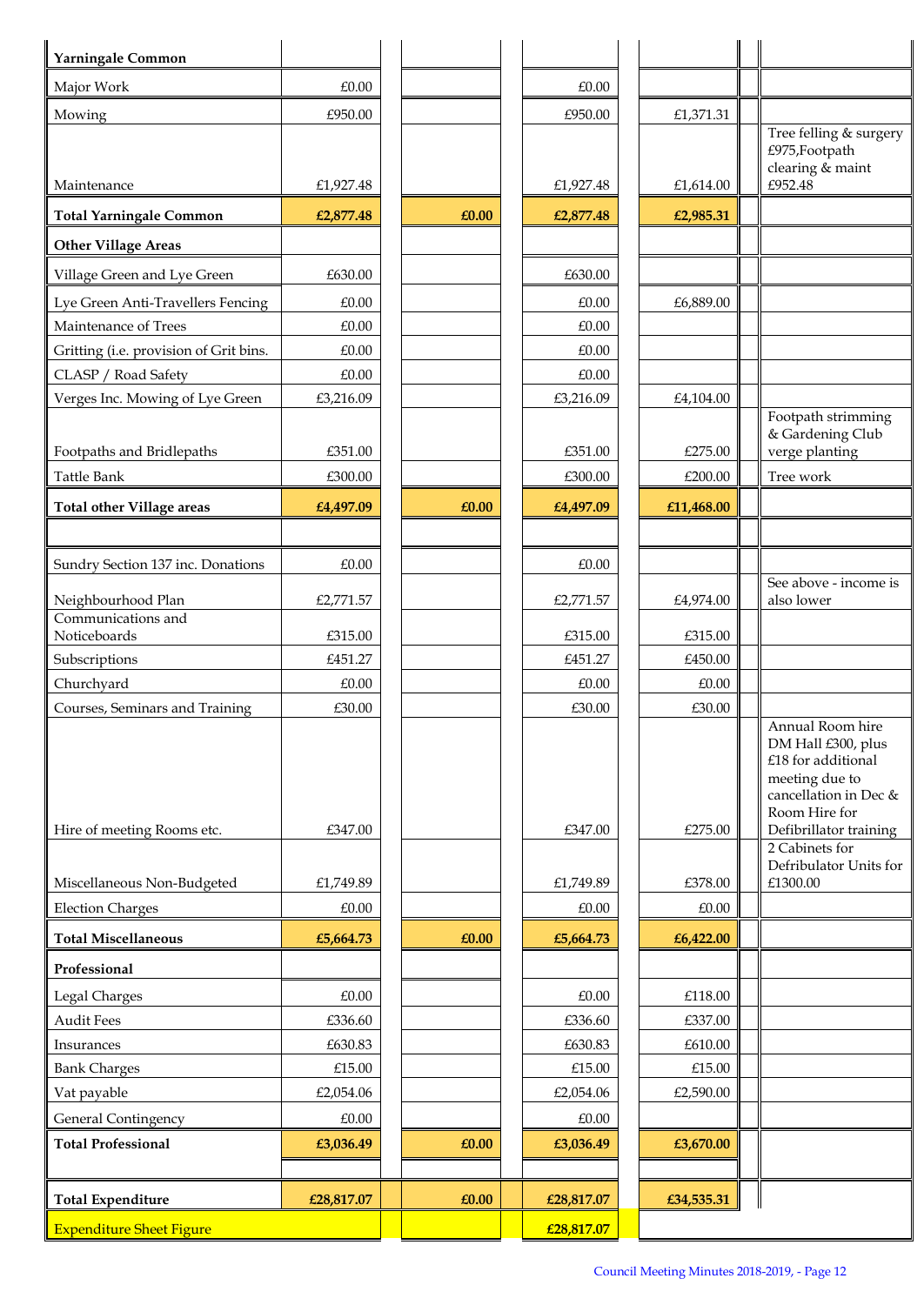| Major Work<br>£0.00<br>£0.00<br>£950.00<br>£950.00<br>Mowing<br>£1,371.31<br>Tree felling & surgery<br>£975, Footpath<br>clearing & maint<br>£952.48<br>Maintenance<br>£1,927.48<br>£1,927.48<br>£1,614.00<br><b>Total Yarningale Common</b><br>£0.00<br>£2,877.48<br>£2,985.31<br>£2,877.48<br><b>Other Village Areas</b><br>Village Green and Lye Green<br>£630.00<br>£630.00<br>Lye Green Anti-Travellers Fencing<br>£6,889.00<br>£0.00<br>£0.00<br>Maintenance of Trees<br>£0.00<br>£0.00<br>Gritting (i.e. provision of Grit bins.<br>£0.00<br>£0.00<br>CLASP / Road Safety<br>£0.00<br>£0.00<br>Verges Inc. Mowing of Lye Green<br>£3,216.09<br>£3,216.09<br>£4,104.00<br>Footpath strimming<br>& Gardening Club<br>verge planting<br>Footpaths and Bridlepaths<br>£351.00<br>£351.00<br>£275.00<br>Tree work<br>Tattle Bank<br>£300.00<br>£300.00<br>£200.00<br><b>Total other Village areas</b><br>£0.00<br>£4,497.09<br>£4,497.09<br>£11,468.00<br>Sundry Section 137 inc. Donations<br>£0.00<br>£0.00<br>See above - income is<br>Neighbourhood Plan<br>also lower<br>£2,771.57<br>£2,771.57<br>£4,974.00<br>Communications and<br>Noticeboards<br>£315.00<br>£315.00<br>£315.00<br>Subscriptions<br>£451.27<br>£451.27<br>£450.00<br>Churchyard<br>£0.00<br>£0.00<br>£0.00<br>Courses, Seminars and Training<br>£30.00<br>£30.00<br>£30.00<br>Annual Room hire<br>DM Hall £300, plus<br>£18 for additional<br>meeting due to<br>cancellation in Dec &<br>Room Hire for<br>Defibrillator training<br>Hire of meeting Rooms etc.<br>£347.00<br>£347.00<br>£275.00<br>2 Cabinets for<br>Defribulator Units for<br>£1300.00<br>Miscellaneous Non-Budgeted<br>£1,749.89<br>£378.00<br>£1,749.89<br><b>Election Charges</b><br>£0.00<br>£0.00<br>£0.00<br><b>Total Miscellaneous</b><br>£0.00<br>£5,664.73<br>£6,422.00<br>£5,664.73<br>Professional<br>Legal Charges<br>£0.00<br>£0.00<br>£118.00<br><b>Audit Fees</b><br>£336.60<br>£336.60<br>£337.00<br>£630.83<br>£630.83<br>£610.00<br>Insurances<br><b>Bank Charges</b><br>£15.00<br>£15.00<br>£15.00<br>Vat payable<br>£2,054.06<br>£2,054.06<br>£2,590.00<br>General Contingency<br>£0.00<br>£0.00<br><b>Total Professional</b><br>£3,036.49<br>£0.00<br>£3,036.49<br>£3,670.00<br><b>Total Expenditure</b><br>£28,817.07<br>£0.00<br>£28,817.07<br>£34,535.31 | Yarningale Common               |  |            |  |  |
|------------------------------------------------------------------------------------------------------------------------------------------------------------------------------------------------------------------------------------------------------------------------------------------------------------------------------------------------------------------------------------------------------------------------------------------------------------------------------------------------------------------------------------------------------------------------------------------------------------------------------------------------------------------------------------------------------------------------------------------------------------------------------------------------------------------------------------------------------------------------------------------------------------------------------------------------------------------------------------------------------------------------------------------------------------------------------------------------------------------------------------------------------------------------------------------------------------------------------------------------------------------------------------------------------------------------------------------------------------------------------------------------------------------------------------------------------------------------------------------------------------------------------------------------------------------------------------------------------------------------------------------------------------------------------------------------------------------------------------------------------------------------------------------------------------------------------------------------------------------------------------------------------------------------------------------------------------------------------------------------------------------------------------------------------------------------------------------------------------------------------------------------------------------------------------------------------------------------------------------------------------------------------------------------------------------------------|---------------------------------|--|------------|--|--|
|                                                                                                                                                                                                                                                                                                                                                                                                                                                                                                                                                                                                                                                                                                                                                                                                                                                                                                                                                                                                                                                                                                                                                                                                                                                                                                                                                                                                                                                                                                                                                                                                                                                                                                                                                                                                                                                                                                                                                                                                                                                                                                                                                                                                                                                                                                                              |                                 |  |            |  |  |
|                                                                                                                                                                                                                                                                                                                                                                                                                                                                                                                                                                                                                                                                                                                                                                                                                                                                                                                                                                                                                                                                                                                                                                                                                                                                                                                                                                                                                                                                                                                                                                                                                                                                                                                                                                                                                                                                                                                                                                                                                                                                                                                                                                                                                                                                                                                              |                                 |  |            |  |  |
|                                                                                                                                                                                                                                                                                                                                                                                                                                                                                                                                                                                                                                                                                                                                                                                                                                                                                                                                                                                                                                                                                                                                                                                                                                                                                                                                                                                                                                                                                                                                                                                                                                                                                                                                                                                                                                                                                                                                                                                                                                                                                                                                                                                                                                                                                                                              |                                 |  |            |  |  |
|                                                                                                                                                                                                                                                                                                                                                                                                                                                                                                                                                                                                                                                                                                                                                                                                                                                                                                                                                                                                                                                                                                                                                                                                                                                                                                                                                                                                                                                                                                                                                                                                                                                                                                                                                                                                                                                                                                                                                                                                                                                                                                                                                                                                                                                                                                                              |                                 |  |            |  |  |
|                                                                                                                                                                                                                                                                                                                                                                                                                                                                                                                                                                                                                                                                                                                                                                                                                                                                                                                                                                                                                                                                                                                                                                                                                                                                                                                                                                                                                                                                                                                                                                                                                                                                                                                                                                                                                                                                                                                                                                                                                                                                                                                                                                                                                                                                                                                              |                                 |  |            |  |  |
|                                                                                                                                                                                                                                                                                                                                                                                                                                                                                                                                                                                                                                                                                                                                                                                                                                                                                                                                                                                                                                                                                                                                                                                                                                                                                                                                                                                                                                                                                                                                                                                                                                                                                                                                                                                                                                                                                                                                                                                                                                                                                                                                                                                                                                                                                                                              |                                 |  |            |  |  |
|                                                                                                                                                                                                                                                                                                                                                                                                                                                                                                                                                                                                                                                                                                                                                                                                                                                                                                                                                                                                                                                                                                                                                                                                                                                                                                                                                                                                                                                                                                                                                                                                                                                                                                                                                                                                                                                                                                                                                                                                                                                                                                                                                                                                                                                                                                                              |                                 |  |            |  |  |
|                                                                                                                                                                                                                                                                                                                                                                                                                                                                                                                                                                                                                                                                                                                                                                                                                                                                                                                                                                                                                                                                                                                                                                                                                                                                                                                                                                                                                                                                                                                                                                                                                                                                                                                                                                                                                                                                                                                                                                                                                                                                                                                                                                                                                                                                                                                              |                                 |  |            |  |  |
|                                                                                                                                                                                                                                                                                                                                                                                                                                                                                                                                                                                                                                                                                                                                                                                                                                                                                                                                                                                                                                                                                                                                                                                                                                                                                                                                                                                                                                                                                                                                                                                                                                                                                                                                                                                                                                                                                                                                                                                                                                                                                                                                                                                                                                                                                                                              |                                 |  |            |  |  |
|                                                                                                                                                                                                                                                                                                                                                                                                                                                                                                                                                                                                                                                                                                                                                                                                                                                                                                                                                                                                                                                                                                                                                                                                                                                                                                                                                                                                                                                                                                                                                                                                                                                                                                                                                                                                                                                                                                                                                                                                                                                                                                                                                                                                                                                                                                                              |                                 |  |            |  |  |
|                                                                                                                                                                                                                                                                                                                                                                                                                                                                                                                                                                                                                                                                                                                                                                                                                                                                                                                                                                                                                                                                                                                                                                                                                                                                                                                                                                                                                                                                                                                                                                                                                                                                                                                                                                                                                                                                                                                                                                                                                                                                                                                                                                                                                                                                                                                              |                                 |  |            |  |  |
|                                                                                                                                                                                                                                                                                                                                                                                                                                                                                                                                                                                                                                                                                                                                                                                                                                                                                                                                                                                                                                                                                                                                                                                                                                                                                                                                                                                                                                                                                                                                                                                                                                                                                                                                                                                                                                                                                                                                                                                                                                                                                                                                                                                                                                                                                                                              |                                 |  |            |  |  |
|                                                                                                                                                                                                                                                                                                                                                                                                                                                                                                                                                                                                                                                                                                                                                                                                                                                                                                                                                                                                                                                                                                                                                                                                                                                                                                                                                                                                                                                                                                                                                                                                                                                                                                                                                                                                                                                                                                                                                                                                                                                                                                                                                                                                                                                                                                                              |                                 |  |            |  |  |
|                                                                                                                                                                                                                                                                                                                                                                                                                                                                                                                                                                                                                                                                                                                                                                                                                                                                                                                                                                                                                                                                                                                                                                                                                                                                                                                                                                                                                                                                                                                                                                                                                                                                                                                                                                                                                                                                                                                                                                                                                                                                                                                                                                                                                                                                                                                              |                                 |  |            |  |  |
|                                                                                                                                                                                                                                                                                                                                                                                                                                                                                                                                                                                                                                                                                                                                                                                                                                                                                                                                                                                                                                                                                                                                                                                                                                                                                                                                                                                                                                                                                                                                                                                                                                                                                                                                                                                                                                                                                                                                                                                                                                                                                                                                                                                                                                                                                                                              |                                 |  |            |  |  |
|                                                                                                                                                                                                                                                                                                                                                                                                                                                                                                                                                                                                                                                                                                                                                                                                                                                                                                                                                                                                                                                                                                                                                                                                                                                                                                                                                                                                                                                                                                                                                                                                                                                                                                                                                                                                                                                                                                                                                                                                                                                                                                                                                                                                                                                                                                                              |                                 |  |            |  |  |
|                                                                                                                                                                                                                                                                                                                                                                                                                                                                                                                                                                                                                                                                                                                                                                                                                                                                                                                                                                                                                                                                                                                                                                                                                                                                                                                                                                                                                                                                                                                                                                                                                                                                                                                                                                                                                                                                                                                                                                                                                                                                                                                                                                                                                                                                                                                              |                                 |  |            |  |  |
|                                                                                                                                                                                                                                                                                                                                                                                                                                                                                                                                                                                                                                                                                                                                                                                                                                                                                                                                                                                                                                                                                                                                                                                                                                                                                                                                                                                                                                                                                                                                                                                                                                                                                                                                                                                                                                                                                                                                                                                                                                                                                                                                                                                                                                                                                                                              |                                 |  |            |  |  |
|                                                                                                                                                                                                                                                                                                                                                                                                                                                                                                                                                                                                                                                                                                                                                                                                                                                                                                                                                                                                                                                                                                                                                                                                                                                                                                                                                                                                                                                                                                                                                                                                                                                                                                                                                                                                                                                                                                                                                                                                                                                                                                                                                                                                                                                                                                                              |                                 |  |            |  |  |
|                                                                                                                                                                                                                                                                                                                                                                                                                                                                                                                                                                                                                                                                                                                                                                                                                                                                                                                                                                                                                                                                                                                                                                                                                                                                                                                                                                                                                                                                                                                                                                                                                                                                                                                                                                                                                                                                                                                                                                                                                                                                                                                                                                                                                                                                                                                              |                                 |  |            |  |  |
|                                                                                                                                                                                                                                                                                                                                                                                                                                                                                                                                                                                                                                                                                                                                                                                                                                                                                                                                                                                                                                                                                                                                                                                                                                                                                                                                                                                                                                                                                                                                                                                                                                                                                                                                                                                                                                                                                                                                                                                                                                                                                                                                                                                                                                                                                                                              |                                 |  |            |  |  |
|                                                                                                                                                                                                                                                                                                                                                                                                                                                                                                                                                                                                                                                                                                                                                                                                                                                                                                                                                                                                                                                                                                                                                                                                                                                                                                                                                                                                                                                                                                                                                                                                                                                                                                                                                                                                                                                                                                                                                                                                                                                                                                                                                                                                                                                                                                                              |                                 |  |            |  |  |
|                                                                                                                                                                                                                                                                                                                                                                                                                                                                                                                                                                                                                                                                                                                                                                                                                                                                                                                                                                                                                                                                                                                                                                                                                                                                                                                                                                                                                                                                                                                                                                                                                                                                                                                                                                                                                                                                                                                                                                                                                                                                                                                                                                                                                                                                                                                              |                                 |  |            |  |  |
|                                                                                                                                                                                                                                                                                                                                                                                                                                                                                                                                                                                                                                                                                                                                                                                                                                                                                                                                                                                                                                                                                                                                                                                                                                                                                                                                                                                                                                                                                                                                                                                                                                                                                                                                                                                                                                                                                                                                                                                                                                                                                                                                                                                                                                                                                                                              |                                 |  |            |  |  |
|                                                                                                                                                                                                                                                                                                                                                                                                                                                                                                                                                                                                                                                                                                                                                                                                                                                                                                                                                                                                                                                                                                                                                                                                                                                                                                                                                                                                                                                                                                                                                                                                                                                                                                                                                                                                                                                                                                                                                                                                                                                                                                                                                                                                                                                                                                                              |                                 |  |            |  |  |
|                                                                                                                                                                                                                                                                                                                                                                                                                                                                                                                                                                                                                                                                                                                                                                                                                                                                                                                                                                                                                                                                                                                                                                                                                                                                                                                                                                                                                                                                                                                                                                                                                                                                                                                                                                                                                                                                                                                                                                                                                                                                                                                                                                                                                                                                                                                              |                                 |  |            |  |  |
|                                                                                                                                                                                                                                                                                                                                                                                                                                                                                                                                                                                                                                                                                                                                                                                                                                                                                                                                                                                                                                                                                                                                                                                                                                                                                                                                                                                                                                                                                                                                                                                                                                                                                                                                                                                                                                                                                                                                                                                                                                                                                                                                                                                                                                                                                                                              |                                 |  |            |  |  |
|                                                                                                                                                                                                                                                                                                                                                                                                                                                                                                                                                                                                                                                                                                                                                                                                                                                                                                                                                                                                                                                                                                                                                                                                                                                                                                                                                                                                                                                                                                                                                                                                                                                                                                                                                                                                                                                                                                                                                                                                                                                                                                                                                                                                                                                                                                                              |                                 |  |            |  |  |
|                                                                                                                                                                                                                                                                                                                                                                                                                                                                                                                                                                                                                                                                                                                                                                                                                                                                                                                                                                                                                                                                                                                                                                                                                                                                                                                                                                                                                                                                                                                                                                                                                                                                                                                                                                                                                                                                                                                                                                                                                                                                                                                                                                                                                                                                                                                              |                                 |  |            |  |  |
|                                                                                                                                                                                                                                                                                                                                                                                                                                                                                                                                                                                                                                                                                                                                                                                                                                                                                                                                                                                                                                                                                                                                                                                                                                                                                                                                                                                                                                                                                                                                                                                                                                                                                                                                                                                                                                                                                                                                                                                                                                                                                                                                                                                                                                                                                                                              |                                 |  |            |  |  |
|                                                                                                                                                                                                                                                                                                                                                                                                                                                                                                                                                                                                                                                                                                                                                                                                                                                                                                                                                                                                                                                                                                                                                                                                                                                                                                                                                                                                                                                                                                                                                                                                                                                                                                                                                                                                                                                                                                                                                                                                                                                                                                                                                                                                                                                                                                                              |                                 |  |            |  |  |
|                                                                                                                                                                                                                                                                                                                                                                                                                                                                                                                                                                                                                                                                                                                                                                                                                                                                                                                                                                                                                                                                                                                                                                                                                                                                                                                                                                                                                                                                                                                                                                                                                                                                                                                                                                                                                                                                                                                                                                                                                                                                                                                                                                                                                                                                                                                              |                                 |  |            |  |  |
|                                                                                                                                                                                                                                                                                                                                                                                                                                                                                                                                                                                                                                                                                                                                                                                                                                                                                                                                                                                                                                                                                                                                                                                                                                                                                                                                                                                                                                                                                                                                                                                                                                                                                                                                                                                                                                                                                                                                                                                                                                                                                                                                                                                                                                                                                                                              |                                 |  |            |  |  |
|                                                                                                                                                                                                                                                                                                                                                                                                                                                                                                                                                                                                                                                                                                                                                                                                                                                                                                                                                                                                                                                                                                                                                                                                                                                                                                                                                                                                                                                                                                                                                                                                                                                                                                                                                                                                                                                                                                                                                                                                                                                                                                                                                                                                                                                                                                                              |                                 |  |            |  |  |
|                                                                                                                                                                                                                                                                                                                                                                                                                                                                                                                                                                                                                                                                                                                                                                                                                                                                                                                                                                                                                                                                                                                                                                                                                                                                                                                                                                                                                                                                                                                                                                                                                                                                                                                                                                                                                                                                                                                                                                                                                                                                                                                                                                                                                                                                                                                              |                                 |  |            |  |  |
|                                                                                                                                                                                                                                                                                                                                                                                                                                                                                                                                                                                                                                                                                                                                                                                                                                                                                                                                                                                                                                                                                                                                                                                                                                                                                                                                                                                                                                                                                                                                                                                                                                                                                                                                                                                                                                                                                                                                                                                                                                                                                                                                                                                                                                                                                                                              |                                 |  |            |  |  |
|                                                                                                                                                                                                                                                                                                                                                                                                                                                                                                                                                                                                                                                                                                                                                                                                                                                                                                                                                                                                                                                                                                                                                                                                                                                                                                                                                                                                                                                                                                                                                                                                                                                                                                                                                                                                                                                                                                                                                                                                                                                                                                                                                                                                                                                                                                                              |                                 |  |            |  |  |
|                                                                                                                                                                                                                                                                                                                                                                                                                                                                                                                                                                                                                                                                                                                                                                                                                                                                                                                                                                                                                                                                                                                                                                                                                                                                                                                                                                                                                                                                                                                                                                                                                                                                                                                                                                                                                                                                                                                                                                                                                                                                                                                                                                                                                                                                                                                              |                                 |  |            |  |  |
|                                                                                                                                                                                                                                                                                                                                                                                                                                                                                                                                                                                                                                                                                                                                                                                                                                                                                                                                                                                                                                                                                                                                                                                                                                                                                                                                                                                                                                                                                                                                                                                                                                                                                                                                                                                                                                                                                                                                                                                                                                                                                                                                                                                                                                                                                                                              |                                 |  |            |  |  |
|                                                                                                                                                                                                                                                                                                                                                                                                                                                                                                                                                                                                                                                                                                                                                                                                                                                                                                                                                                                                                                                                                                                                                                                                                                                                                                                                                                                                                                                                                                                                                                                                                                                                                                                                                                                                                                                                                                                                                                                                                                                                                                                                                                                                                                                                                                                              |                                 |  |            |  |  |
|                                                                                                                                                                                                                                                                                                                                                                                                                                                                                                                                                                                                                                                                                                                                                                                                                                                                                                                                                                                                                                                                                                                                                                                                                                                                                                                                                                                                                                                                                                                                                                                                                                                                                                                                                                                                                                                                                                                                                                                                                                                                                                                                                                                                                                                                                                                              | <b>Expenditure Sheet Figure</b> |  | £28,817.07 |  |  |